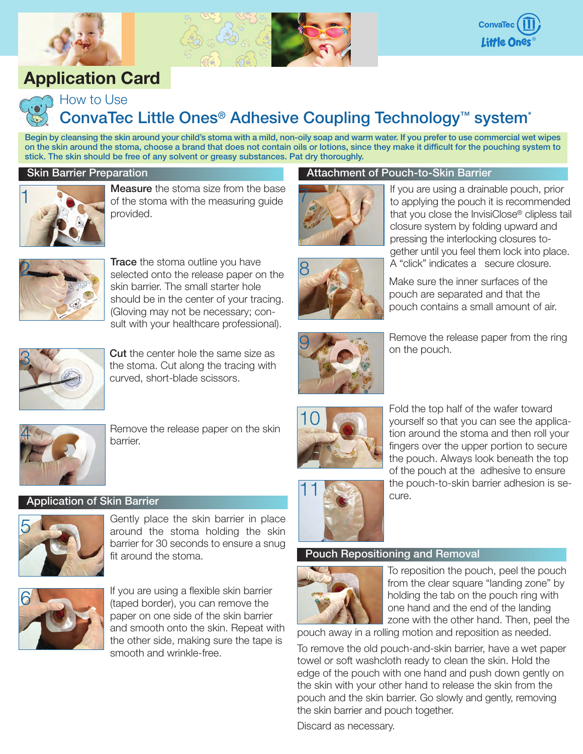

## **Application Card**





## ConvaTec Little Ones<sup>®</sup> Adhesive Coupling Technology<sup>™</sup> system<sup>\*</sup>

7

9

Begin by cleansing the skin around your child's stoma with a mild, non-oily soap and warm water. If you prefer to use commercial wet wipes on the skin around the stoma, choose a brand that does not contain oils or lotions, since they make it difficult for the pouching system to stick. The skin should be free of any solvent or greasy substances. Pat dry thoroughly.

#### Skin Barrier Preparation



**Measure** the stoma size from the base of the stoma with the measuring guide provided.



Trace the stoma outline you have selected onto the release paper on the skin barrier. The small starter hole should be in the center of your tracing. (Gloving may not be necessary; consult with your healthcare professional).



Remove the release paper from the ring on the pouch.

If you are using a drainable pouch, prior to applying the pouch it is recommended that you close the InvisiClose® clipless tail closure system by folding upward and pressing the interlocking closures to-

Attachment of Pouch-to-Skin Barrier



**Cut** the center hole the same size as the stoma. Cut along the tracing with curved, short-blade scissors.



Remove the release paper on the skin barrier.

#### Application of Skin Barrier



Gently place the skin barrier in place around the stoma holding the skin barrier for 30 seconds to ensure a snug fit around the stoma.



If you are using a flexible skin barrier (taped border), you can remove the paper on one side of the skin barrier and smooth onto the skin. Repeat with the other side, making sure the tape is smooth and wrinkle-free.



Fold the top half of the wafer toward yourself so that you can see the application around the stoma and then roll your fingers over the upper portion to secure the pouch. Always look beneath the top of the pouch at the adhesive to ensure the pouch-to-skin barrier adhesion is se-

# 11

Pouch Repositioning and Removal

cure.



To reposition the pouch, peel the pouch from the clear square "landing zone" by holding the tab on the pouch ring with one hand and the end of the landing zone with the other hand. Then, peel the

pouch away in a rolling motion and reposition as needed.

To remove the old pouch-and-skin barrier, have a wet paper towel or soft washcloth ready to clean the skin. Hold the edge of the pouch with one hand and push down gently on the skin with your other hand to release the skin from the pouch and the skin barrier. Go slowly and gently, removing the skin barrier and pouch together.

Discard as necessary.